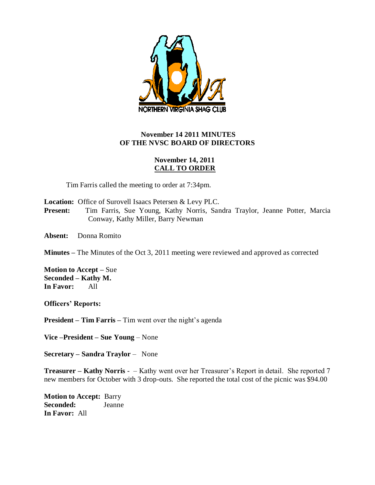

## **November 14 2011 MINUTES OF THE NVSC BOARD OF DIRECTORS**

## **November 14, 2011 CALL TO ORDER**

Tim Farris called the meeting to order at 7:34pm.

**Location:** Office of Surovell Isaacs Petersen & Levy PLC.

**Present:** Tim Farris, Sue Young, Kathy Norris, Sandra Traylor, Jeanne Potter, Marcia Conway, Kathy Miller, Barry Newman

**Absent:** Donna Romito

**Minutes –** The Minutes of the Oct 3, 2011 meeting were reviewed and approved as corrected

**Motion to Accept –** Sue **Seconded – Kathy M. In Favor:** All

**Officers' Reports:**

**President – Tim Farris –** Tim went over the night's agenda

**Vice –President – Sue Young** – None

**Secretary – Sandra Traylor** – None

**Treasurer – Kathy Norris** - – Kathy went over her Treasurer's Report in detail. She reported 7 new members for October with 3 drop-outs. She reported the total cost of the picnic was \$94.00

**Motion to Accept:** Barry **Seconded:** Jeanne **In Favor:** All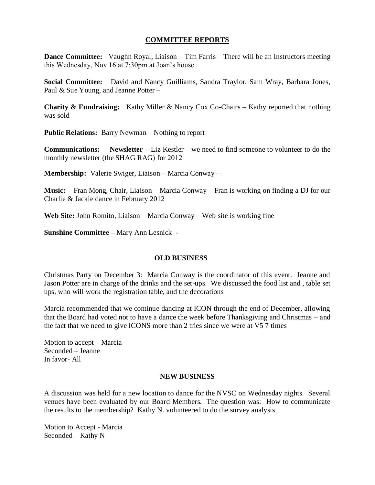### **COMMITTEE REPORTS**

**Dance Committee:** Vaughn Royal, Liaison – Tim Farris – There will be an Instructors meeting this Wednesday, Nov 16 at 7:30pm at Joan's house

**Social Committee:** David and Nancy Guilliams, Sandra Traylor, Sam Wray, Barbara Jones, Paul & Sue Young, and Jeanne Potter –

**Charity & Fundraising:** Kathy Miller & Nancy Cox Co-Chairs – Kathy reported that nothing was sold

**Public Relations:** Barry Newman – Nothing to report

**Communications: Newsletter –** Liz Kestler – we need to find someone to volunteer to do the monthly newsletter (the SHAG RAG) for 2012

**Membership:** Valerie Swiger, Liaison – Marcia Conway –

**Music:** Fran Mong, Chair, Liaison – Marcia Conway – Fran is working on finding a DJ for our Charlie & Jackie dance in February 2012

**Web Site:** John Romito, Liaison – Marcia Conway – Web site is working fine

**Sunshine Committee –** Mary Ann Lesnick -

### **OLD BUSINESS**

Christmas Party on December 3: Marcia Conway is the coordinator of this event. Jeanne and Jason Potter are in charge of the drinks and the set-ups. We discussed the food list and , table set ups, who will work the registration table, and the decorations

Marcia recommended that we continue dancing at ICON through the end of December, allowing that the Board had voted not to have a dance the week before Thanksgiving and Christmas – and the fact that we need to give ICONS more than 2 tries since we were at V5 7 times

Motion to accept – Marcia Seconded – Jeanne In favor- All

#### **NEW BUSINESS**

A discussion was held for a new location to dance for the NVSC on Wednesday nights. Several venues have been evaluated by our Board Members. The question was: How to communicate the results to the membership? Kathy N. volunteered to do the survey analysis

Motion to Accept - Marcia Seconded – Kathy N